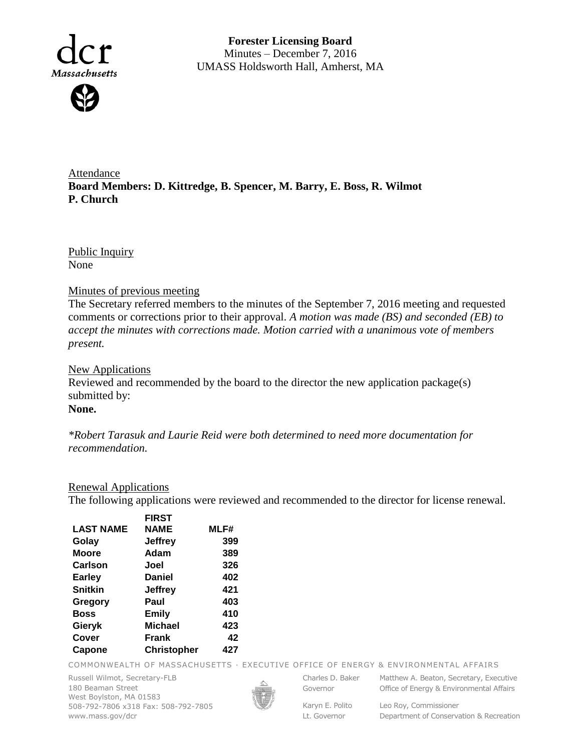

**Forester Licensing Board**  Minutes – December 7, 2016 UMASS Holdsworth Hall, Amherst, MA

Attendance **Board Members: D. Kittredge, B. Spencer, M. Barry, E. Boss, R. Wilmot P. Church**

Public Inquiry None

## Minutes of previous meeting

The Secretary referred members to the minutes of the September 7, 2016 meeting and requested comments or corrections prior to their approval. *A motion was made (BS) and seconded (EB) to accept the minutes with corrections made. Motion carried with a unanimous vote of members present.*

**New Applications** Reviewed and recommended by the board to the director the new application package(s) submitted by: **None.**

*\*Robert Tarasuk and Laurie Reid were both determined to need more documentation for recommendation.*

## Renewal Applications

The following applications were reviewed and recommended to the director for license renewal.

|                  | <b>FIRST</b>       |      |
|------------------|--------------------|------|
| <b>LAST NAME</b> | <b>NAME</b>        | MLF# |
| Golay            | <b>Jeffrey</b>     | 399  |
| <b>Moore</b>     | Adam               | 389  |
| Carlson          | Joel               | 326  |
| <b>Earley</b>    | Daniel             | 402  |
| <b>Snitkin</b>   | <b>Jeffrey</b>     | 421  |
| Gregory          | Paul               | 403  |
| Boss             | Emily              | 410  |
| Gieryk           | <b>Michael</b>     | 423  |
| Cover            | Frank              | 42   |
| Capone           | <b>Christopher</b> | 427  |
|                  |                    |      |

COMMONWEALTH OF MASSACHUSETTS · EXECUTIVE OFFICE OF ENERGY & ENVIRONMENTAL AFFAIRS

Russell Wilmot, Secretary-FLB 180 Beaman Street West Boylston, MA 01583 508-792-7806 x318 Fax: 508-792-7805 www.mass.gov/dcr



Governor

Charles D. Baker Matthew A. Beaton, Secretary, Executive Office of Energy & Environmental Affairs

Karyn E. Polito Lt. Governor

Leo Roy, Commissioner Department of Conservation & Recreation